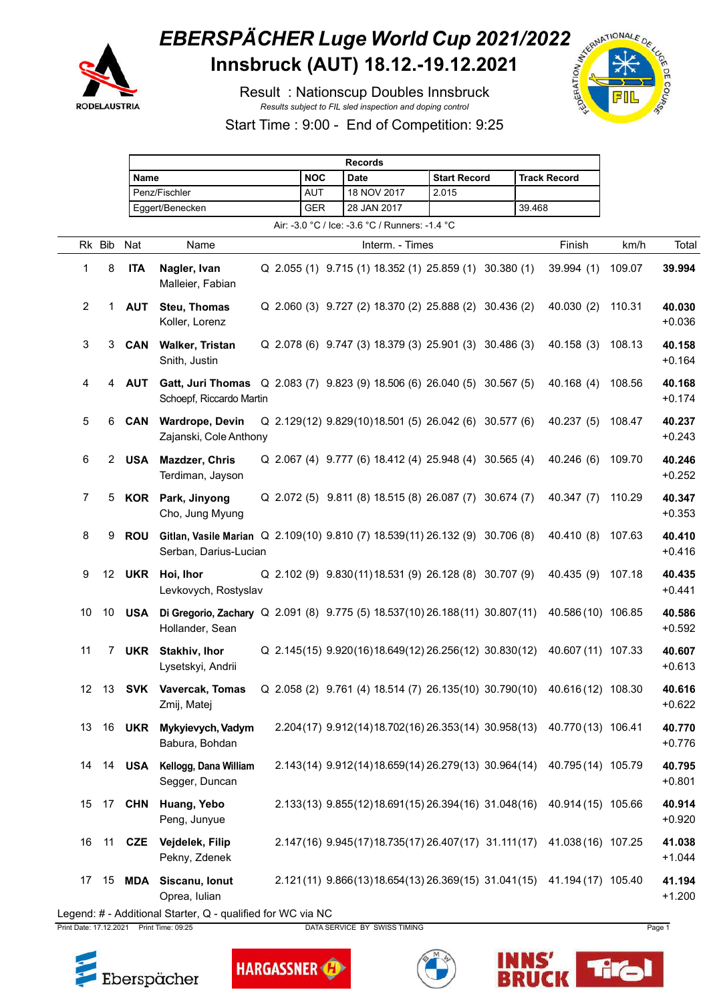

## *EBERSPÄCHER Luge World Cup 2021/2022*<br>Innsbruck (AUT) 18.12.-19.12.2021 **Innsbruck (AUT) 18.12.-19.12.2021**

Result : Nationscup Doubles Innsbruck *Results subject to FIL sled inspection and doping control*



Start Time : 9:00 - End of Competition: 9:25

|                                                |                |               | <b>Records</b>                                                                                                    |  |  |            |  |             |                 |                     |                                                         |                     |        |                                                                       |        |                    |
|------------------------------------------------|----------------|---------------|-------------------------------------------------------------------------------------------------------------------|--|--|------------|--|-------------|-----------------|---------------------|---------------------------------------------------------|---------------------|--------|-----------------------------------------------------------------------|--------|--------------------|
|                                                |                |               | <b>Name</b>                                                                                                       |  |  | <b>NOC</b> |  | <b>Date</b> |                 | <b>Start Record</b> |                                                         | <b>Track Record</b> |        |                                                                       |        |                    |
|                                                |                |               | Penz/Fischler                                                                                                     |  |  | <b>AUT</b> |  | 18 NOV 2017 |                 |                     | 2.015                                                   |                     |        |                                                                       |        |                    |
|                                                |                |               | Eggert/Benecken                                                                                                   |  |  | <b>GER</b> |  | 28 JAN 2017 |                 |                     |                                                         |                     | 39.468 |                                                                       |        |                    |
| Air: -3.0 °C / Ice: -3.6 °C / Runners: -1.4 °C |                |               |                                                                                                                   |  |  |            |  |             |                 |                     |                                                         |                     |        |                                                                       |        |                    |
|                                                | Rk Bib         | Nat           | Name                                                                                                              |  |  |            |  |             | Interm. - Times |                     |                                                         |                     |        | Finish                                                                | km/h   | Total              |
| 1                                              | 8              | <b>ITA</b>    | Nagler, Ivan<br>Malleier, Fabian                                                                                  |  |  |            |  |             |                 |                     | Q 2.055 (1) 9.715 (1) 18.352 (1) 25.859 (1) 30.380 (1)  |                     |        | 39.994(1)                                                             | 109.07 | 39.994             |
| $\sqrt{2}$                                     | 1.             | <b>AUT</b>    | Steu, Thomas<br>Koller, Lorenz                                                                                    |  |  |            |  |             |                 |                     | Q 2.060 (3) 9.727 (2) 18.370 (2) 25.888 (2) 30.436 (2)  |                     |        | 40.030(2)                                                             | 110.31 | 40.030<br>$+0.036$ |
| $\mathbf{3}$                                   | 3              | <b>CAN</b>    | <b>Walker, Tristan</b><br>Snith, Justin                                                                           |  |  |            |  |             |                 |                     | Q 2.078 (6) 9.747 (3) 18.379 (3) 25.901 (3) 30.486 (3)  |                     |        | 40.158(3)                                                             | 108.13 | 40.158<br>$+0.164$ |
| 4                                              | 4              | <b>AUT</b>    | Gatt, Juri Thomas Q 2.083 (7) 9.823 (9) 18.506 (6) 26.040 (5) 30.567 (5)<br>Schoepf, Riccardo Martin              |  |  |            |  |             |                 |                     |                                                         |                     |        | 40.168(4)                                                             | 108.56 | 40.168<br>$+0.174$ |
| 5                                              | 6              | <b>CAN</b>    | <b>Wardrope, Devin</b><br>Zajanski, Cole Anthony                                                                  |  |  |            |  |             |                 |                     | Q 2.129(12) 9.829(10)18.501 (5) 26.042 (6) 30.577 (6)   |                     |        | 40.237(5)                                                             | 108.47 | 40.237<br>$+0.243$ |
| 6                                              |                | 2 USA         | <b>Mazdzer, Chris</b><br>Terdiman, Jayson                                                                         |  |  |            |  |             |                 |                     | Q 2.067 (4) 9.777 (6) 18.412 (4) 25.948 (4) 30.565 (4)  |                     |        | 40.246(6)                                                             | 109.70 | 40.246<br>$+0.252$ |
| $\overline{7}$                                 |                |               | 5 KOR Park, Jinyong<br>Cho, Jung Myung                                                                            |  |  |            |  |             |                 |                     | Q 2.072 (5) 9.811 (8) 18.515 (8) 26.087 (7) 30.674 (7)  |                     |        | 40.347(7)                                                             | 110.29 | 40.347<br>$+0.353$ |
| 8                                              | 9              | <b>ROU</b>    | Gitlan, Vasile Marian Q 2.109(10) 9.810 (7) 18.539(11) 26.132 (9) 30.706 (8)<br>Serban, Darius-Lucian             |  |  |            |  |             |                 |                     |                                                         |                     |        | 40.410 (8)                                                            | 107.63 | 40.410<br>$+0.416$ |
| 9                                              |                | 12 <b>UKR</b> | Hoi, Ihor<br>Levkovych, Rostyslav                                                                                 |  |  |            |  |             |                 |                     | Q 2.102 (9) 9.830 (11) 18.531 (9) 26.128 (8) 30.707 (9) |                     |        | 40.435 (9)                                                            | 107.18 | 40.435<br>$+0.441$ |
| 10                                             | 10             |               | USA Di Gregorio, Zachary Q 2.091 (8) 9.775 (5) 18.537(10) 26.188(11) 30.807(11)<br>Hollander, Sean                |  |  |            |  |             |                 |                     |                                                         |                     |        | 40.586 (10) 106.85                                                    |        | 40.586<br>$+0.592$ |
| 11                                             | $\overline{7}$ |               | <b>UKR</b> Stakhiv, Ihor<br>Lysetskyi, Andrii                                                                     |  |  |            |  |             |                 |                     | Q 2.145(15) 9.920(16)18.649(12) 26.256(12) 30.830(12)   |                     |        | 40.607 (11) 107.33                                                    |        | 40.607<br>$+0.613$ |
| 12                                             |                |               | 13 SVK Vavercak, Tomas Q 2.058 (2) 9.761 (4) 18.514 (7) 26.135 (10) 30.790 (10) 40.616 (12) 108.30<br>Zmij, Matej |  |  |            |  |             |                 |                     |                                                         |                     |        |                                                                       |        | 40.616<br>$+0.622$ |
| 13                                             |                | <b>16 UKR</b> | Mykyievych, Vadym<br>Babura, Bohdan                                                                               |  |  |            |  |             |                 |                     | 2.204(17) 9.912(14)18.702(16) 26.353(14) 30.958(13)     |                     |        | 40.770 (13) 106.41                                                    |        | 40.770<br>$+0.776$ |
| 14                                             |                |               | 14 USA Kellogg, Dana William<br>Segger, Duncan                                                                    |  |  |            |  |             |                 |                     | 2.143(14) 9.912(14)18.659(14) 26.279(13) 30.964(14)     |                     |        | 40.795 (14) 105.79                                                    |        | 40.795<br>$+0.801$ |
| 15                                             | 17             | <b>CHN</b>    | Huang, Yebo<br>Peng, Junyue                                                                                       |  |  |            |  |             |                 |                     | 2.133(13) 9.855(12)18.691(15) 26.394(16) 31.048(16)     |                     |        | 40.914 (15) 105.66                                                    |        | 40.914<br>$+0.920$ |
| 16                                             |                |               | 11 CZE Vejdelek, Filip<br>Pekny, Zdenek                                                                           |  |  |            |  |             |                 |                     | 2.147(16) 9.945(17)18.735(17) 26.407(17) 31.111(17)     |                     |        | 41.038 (16) 107.25                                                    |        | 41.038<br>$+1.044$ |
| 17                                             |                |               | 15 MDA Siscanu, Ionut<br>Oprea, Iulian                                                                            |  |  |            |  |             |                 |                     |                                                         |                     |        | 2.121(11) 9.866(13)18.654(13) 26.369(15) 31.041(15) 41.194(17) 105.40 |        | 41.194<br>$+1.200$ |
|                                                |                |               | Legend: # - Additional Starter, Q - qualified for WC via NC                                                       |  |  |            |  |             |                 |                     |                                                         |                     |        |                                                                       |        |                    |

Print Date: 17.12.2021 Print Time: 09:25 DATA SERVICE BY SWISS TIMING Page 1